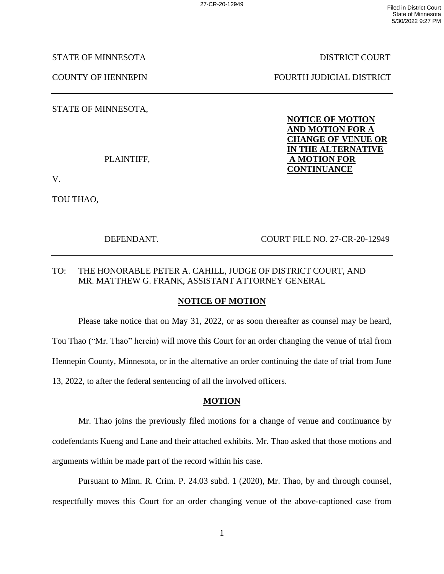STATE OF MINNESOTA DISTRICT COURT

STATE OF MINNESOTA,

V.

TOU THAO,

COUNTY OF HENNEPIN FOURTH JUDICIAL DISTRICT

**NOTICE OF MOTION AND MOTION FOR A CHANGE OF VENUE OR IN THE ALTERNATIVE** PLAINTIFF, **A MOTION FOR CONTINUANCE**

DEFENDANT. COURT FILE NO. 27-CR-20-12949

# TO: THE HONORABLE PETER A. CAHILL, JUDGE OF DISTRICT COURT, AND MR. MATTHEW G. FRANK, ASSISTANT ATTORNEY GENERAL

## **NOTICE OF MOTION**

Please take notice that on May 31, 2022, or as soon thereafter as counsel may be heard, Tou Thao ("Mr. Thao" herein) will move this Court for an order changing the venue of trial from Hennepin County, Minnesota, or in the alternative an order continuing the date of trial from June 13, 2022, to after the federal sentencing of all the involved officers.

## **MOTION**

Mr. Thao joins the previously filed motions for a change of venue and continuance by codefendants Kueng and Lane and their attached exhibits. Mr. Thao asked that those motions and arguments within be made part of the record within his case.

Pursuant to Minn. R. Crim. P. 24.03 subd. 1 (2020), Mr. Thao, by and through counsel, respectfully moves this Court for an order changing venue of the above-captioned case from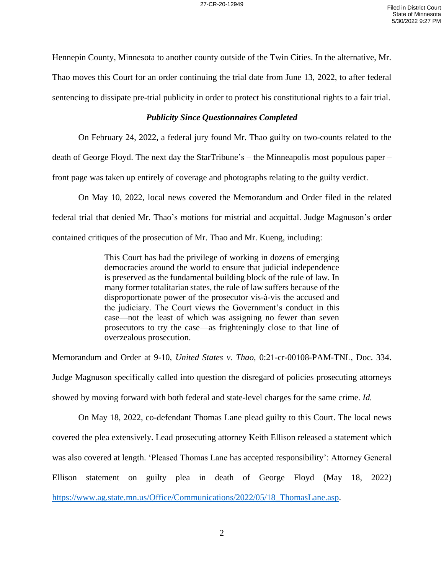Hennepin County, Minnesota to another county outside of the Twin Cities. In the alternative, Mr.

Thao moves this Court for an order continuing the trial date from June 13, 2022, to after federal

sentencing to dissipate pre-trial publicity in order to protect his constitutional rights to a fair trial.

### *Publicity Since Questionnaires Completed*

On February 24, 2022, a federal jury found Mr. Thao guilty on two-counts related to the

death of George Floyd. The next day the StarTribune's – the Minneapolis most populous paper –

front page was taken up entirely of coverage and photographs relating to the guilty verdict.

On May 10, 2022, local news covered the Memorandum and Order filed in the related federal trial that denied Mr. Thao's motions for mistrial and acquittal. Judge Magnuson's order contained critiques of the prosecution of Mr. Thao and Mr. Kueng, including:

> This Court has had the privilege of working in dozens of emerging democracies around the world to ensure that judicial independence is preserved as the fundamental building block of the rule of law. In many former totalitarian states, the rule of law suffers because of the disproportionate power of the prosecutor vis-à-vis the accused and the judiciary. The Court views the Government's conduct in this case—not the least of which was assigning no fewer than seven prosecutors to try the case—as frighteningly close to that line of overzealous prosecution.

Memorandum and Order at 9-10, *United States v. Thao,* 0:21-cr-00108-PAM-TNL, Doc. 334. Judge Magnuson specifically called into question the disregard of policies prosecuting attorneys showed by moving forward with both federal and state-level charges for the same crime. *Id.* 

On May 18, 2022, co-defendant Thomas Lane plead guilty to this Court. The local news covered the plea extensively. Lead prosecuting attorney Keith Ellison released a statement which was also covered at length. 'Pleased Thomas Lane has accepted responsibility': Attorney General Ellison statement on guilty plea in death of George Floyd (May 18, 2022) [https://www.ag.state.mn.us/Office/Communications/2022/05/18\\_ThomasLane.asp.](https://www.ag.state.mn.us/Office/Communications/2022/05/18_ThomasLane.asp)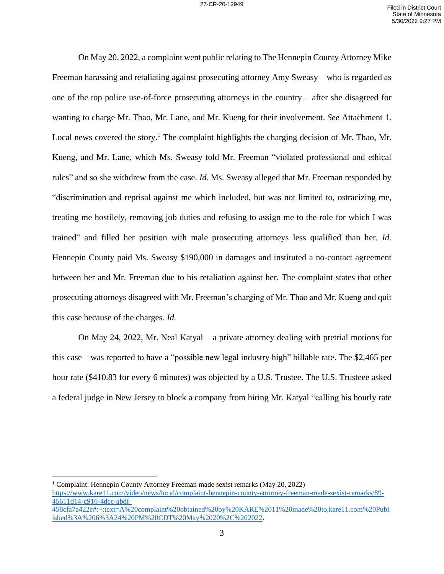On May 20, 2022, a complaint went public relating to The Hennepin County Attorney Mike Freeman harassing and retaliating against prosecuting attorney Amy Sweasy – who is regarded as one of the top police use-of-force prosecuting attorneys in the country – after she disagreed for wanting to charge Mr. Thao, Mr. Lane, and Mr. Kueng for their involvement. *See* Attachment 1. Local news covered the story.<sup>1</sup> The complaint highlights the charging decision of Mr. Thao, Mr. Kueng, and Mr. Lane, which Ms. Sweasy told Mr. Freeman "violated professional and ethical rules" and so she withdrew from the case. *Id.* Ms. Sweasy alleged that Mr. Freeman responded by "discrimination and reprisal against me which included, but was not limited to, ostracizing me, treating me hostilely, removing job duties and refusing to assign me to the role for which I was trained" and filled her position with male prosecuting attorneys less qualified than her. *Id.* Hennepin County paid Ms. Sweasy \$190,000 in damages and instituted a no-contact agreement between her and Mr. Freeman due to his retaliation against her. The complaint states that other prosecuting attorneys disagreed with Mr. Freeman's charging of Mr. Thao and Mr. Kueng and quit this case because of the charges. *Id.* 

On May 24, 2022, Mr. Neal Katyal – a private attorney dealing with pretrial motions for this case – was reported to have a "possible new legal industry high" billable rate. The \$2,465 per hour rate (\$410.83 for every 6 minutes) was objected by a U.S. Trustee. The U.S. Trusteee asked a federal judge in New Jersey to block a company from hiring Mr. Katyal "calling his hourly rate

<sup>1</sup> Complaint: Hennepin County Attorney Freeman made sexist remarks (May 20, 2022) [https://www.kare11.com/video/news/local/complaint-hennepin-county-attorney-freeman-made-sexist-remarks/89-](https://www.kare11.com/video/news/local/complaint-hennepin-county-attorney-freeman-made-sexist-remarks/89-45611d14-c916-4dcc-abdf-458cfa7a422c#:~:text=A%20complaint%20obtained%20by%20KARE%2011%20made%20to,kare11.com%20Published%3A%206%3A24%20PM%20CDT%20May%2020%2C%202022) [45611d14-c916-4dcc-abdf-](https://www.kare11.com/video/news/local/complaint-hennepin-county-attorney-freeman-made-sexist-remarks/89-45611d14-c916-4dcc-abdf-458cfa7a422c#:~:text=A%20complaint%20obtained%20by%20KARE%2011%20made%20to,kare11.com%20Published%3A%206%3A24%20PM%20CDT%20May%2020%2C%202022)[458cfa7a422c#:~:text=A%20complaint%20obtained%20by%20KARE%2011%20made%20to,kare11.com%20Publ](https://www.kare11.com/video/news/local/complaint-hennepin-county-attorney-freeman-made-sexist-remarks/89-45611d14-c916-4dcc-abdf-458cfa7a422c#:~:text=A%20complaint%20obtained%20by%20KARE%2011%20made%20to,kare11.com%20Published%3A%206%3A24%20PM%20CDT%20May%2020%2C%202022) [ished%3A%206%3A24%20PM%20CDT%20May%2020%2C%202022.](https://www.kare11.com/video/news/local/complaint-hennepin-county-attorney-freeman-made-sexist-remarks/89-45611d14-c916-4dcc-abdf-458cfa7a422c#:~:text=A%20complaint%20obtained%20by%20KARE%2011%20made%20to,kare11.com%20Published%3A%206%3A24%20PM%20CDT%20May%2020%2C%202022)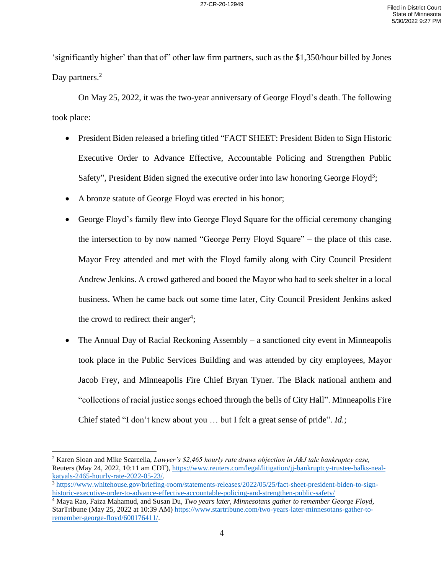'significantly higher' than that of" other law firm partners, such as the \$1,350/hour billed by Jones Day partners.<sup>2</sup>

On May 25, 2022, it was the two-year anniversary of George Floyd's death. The following took place:

- President Biden released a briefing titled "FACT SHEET: President Biden to Sign Historic Executive Order to Advance Effective, Accountable Policing and Strengthen Public Safety", President Biden signed the executive order into law honoring George Floyd<sup>3</sup>;
- A bronze statute of George Floyd was erected in his honor;
- George Floyd's family flew into George Floyd Square for the official ceremony changing the intersection to by now named "George Perry Floyd Square" – the place of this case. Mayor Frey attended and met with the Floyd family along with City Council President Andrew Jenkins. A crowd gathered and booed the Mayor who had to seek shelter in a local business. When he came back out some time later, City Council President Jenkins asked the crowd to redirect their anger<sup>4</sup>;
- The Annual Day of Racial Reckoning Assembly a sanctioned city event in Minneapolis took place in the Public Services Building and was attended by city employees, Mayor Jacob Frey, and Minneapolis Fire Chief Bryan Tyner. The Black national anthem and "collections of racial justice songs echoed through the bells of City Hall". Minneapolis Fire Chief stated "I don't knew about you … but I felt a great sense of pride". *Id.*;

<sup>2</sup> Karen Sloan and Mike Scarcella, *Lawyer's \$2,465 hourly rate draws objection in J&J talc bankruptcy case,* Reuters (May 24, 2022, 10:11 am CDT)[, https://www.reuters.com/legal/litigation/jj-bankruptcy-trustee-balks-neal](https://www.reuters.com/legal/litigation/jj-bankruptcy-trustee-balks-neal-katyals-2465-hourly-rate-2022-05-23/)[katyals-2465-hourly-rate-2022-05-23/.](https://www.reuters.com/legal/litigation/jj-bankruptcy-trustee-balks-neal-katyals-2465-hourly-rate-2022-05-23/)

<sup>3</sup> [https://www.whitehouse.gov/briefing-room/statements-releases/2022/05/25/fact-sheet-president-biden-to-sign](https://www.whitehouse.gov/briefing-room/statements-releases/2022/05/25/fact-sheet-president-biden-to-sign-historic-executive-order-to-advance-effective-accountable-policing-and-strengthen-public-safety/)[historic-executive-order-to-advance-effective-accountable-policing-and-strengthen-public-safety/](https://www.whitehouse.gov/briefing-room/statements-releases/2022/05/25/fact-sheet-president-biden-to-sign-historic-executive-order-to-advance-effective-accountable-policing-and-strengthen-public-safety/)

<sup>4</sup> Maya Rao, Faiza Mahamud, and Susan Du, *Two years later, Minnesotans gather to remember George Floyd,*  StarTribune (May 25, 2022 at 10:39 AM) [https://www.startribune.com/two-years-later-minnesotans-gather-to](https://www.startribune.com/two-years-later-minnesotans-gather-to-remember-george-floyd/600176411/)[remember-george-floyd/600176411/.](https://www.startribune.com/two-years-later-minnesotans-gather-to-remember-george-floyd/600176411/)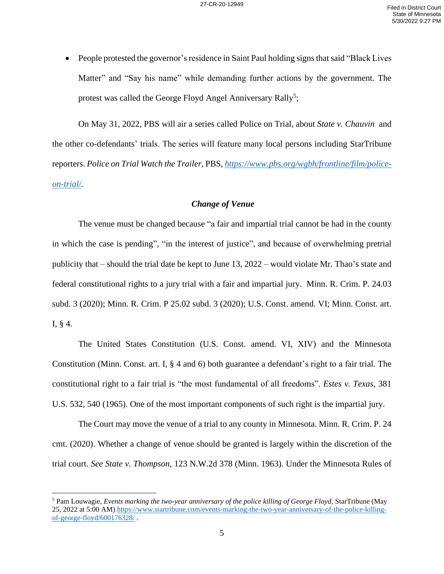• People protested the governor's residence in Saint Paul holding signs that said "Black Lives" Matter" and "Say his name" while demanding further actions by the government. The protest was called the George Floyd Angel Anniversary Rally<sup>5</sup>;

On May 31, 2022, PBS will air a series called Police on Trial, about *State v. Chauvin* and the other co-defendants' trials. The series will feature many local persons including StarTribune reporters. *Police on Trial Watch the Trailer,* PBS, *[https://www.pbs.org/wgbh/frontline/film/police](https://www.pbs.org/wgbh/frontline/film/police-on-trial/)[on-trial/.](https://www.pbs.org/wgbh/frontline/film/police-on-trial/)* 

### *Change of Venue*

The venue must be changed because "a fair and impartial trial cannot be had in the county in which the case is pending", "in the interest of justice", and because of overwhelming pretrial publicity that – should the trial date be kept to June 13, 2022 – would violate Mr. Thao's state and federal constitutional rights to a jury trial with a fair and impartial jury. Minn. R. Crim. P. 24.03 subd. 3 (2020); Minn. R. Crim. P 25.02 subd. 3 (2020); U.S. Const. amend. VI; Minn. Const. art. I, § 4.

The United States Constitution (U.S. Const. amend. VI, XIV) and the Minnesota Constitution (Minn. Const. art. I, § 4 and 6) both guarantee a defendant's right to a fair trial. The constitutional right to a fair trial is "the most fundamental of all freedoms". *Estes v. Texas,* 381 U.S. 532, 540 (1965). One of the most important components of such right is the impartial jury.

The Court may move the venue of a trial to any county in Minnesota. Minn. R. Crim. P. 24 cmt. (2020). Whether a change of venue should be granted is largely within the discretion of the trial court. *See State v. Thompson,* 123 N.W.2d 378 (Minn. 1963). Under the Minnesota Rules of

<sup>5</sup> Pam Louwagie, *Events marking the two-year anniversary of the police killing of George Floyd,* StarTribune (May 25, 2022 at 5:00 AM) [https://www.startribune.com/events-marking-the-two-year-anniversary-of-the-police-killing](https://www.startribune.com/events-marking-the-two-year-anniversary-of-the-police-killing-of-george-floyd/600176328/)[of-george-floyd/600176328/](https://www.startribune.com/events-marking-the-two-year-anniversary-of-the-police-killing-of-george-floyd/600176328/) .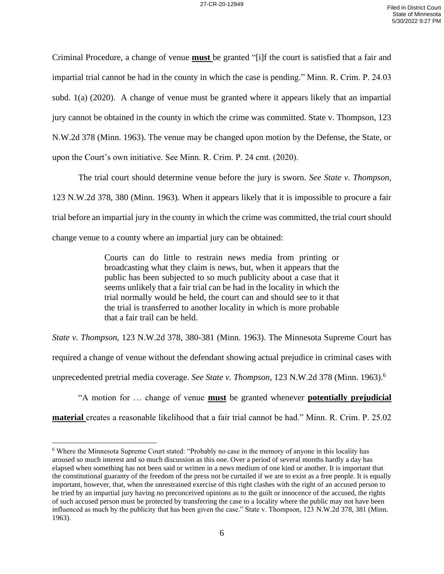Criminal Procedure, a change of venue **must** be granted "[i]f the court is satisfied that a fair and impartial trial cannot be had in the county in which the case is pending." Minn. R. Crim. P. 24.03 subd. 1(a) (2020). A change of venue must be granted where it appears likely that an impartial jury cannot be obtained in the county in which the crime was committed. State v. Thompson, 123 N.W.2d 378 (Minn. 1963). The venue may be changed upon motion by the Defense, the State, or upon the Court's own initiative. See Minn. R. Crim. P. 24 cmt. (2020).

The trial court should determine venue before the jury is sworn. *See State v. Thompson,*  123 N.W.2d 378, 380 (Minn. 1963). When it appears likely that it is impossible to procure a fair trial before an impartial jury in the county in which the crime was committed, the trial court should change venue to a county where an impartial jury can be obtained:

> Courts can do little to restrain news media from printing or broadcasting what they claim is news, but, when it appears that the public has been subjected to so much publicity about a case that it seems unlikely that a fair trial can be had in the locality in which the trial normally would be held, the court can and should see to it that the trial is transferred to another locality in which is more probable that a fair trail can be held.

*State v. Thompson,* 123 N.W.2d 378, 380-381 (Minn. 1963). The Minnesota Supreme Court has required a change of venue without the defendant showing actual prejudice in criminal cases with unprecedented pretrial media coverage. *See State v. Thompson,* 123 N.W.2d 378 (Minn. 1963). 6

"A motion for … change of venue **must** be granted whenever **potentially prejudicial material** creates a reasonable likelihood that a fair trial cannot be had." Minn. R. Crim. P. 25.02

<sup>6</sup> Where the Minnesota Supreme Court stated: "Probably no case in the memory of anyone in this locality has aroused so much interest and so much discussion as this one. Over a period of several months hardly a day has elapsed when something has not been said or written in a news medium of one kind or another. It is important that the constitutional guaranty of the freedom of the press not be curtailed if we are to exist as a free people. It is equally important, however, that, when the unrestrained exercise of this right clashes with the right of an accused person to be tried by an impartial jury having no preconceived opinions as to the guilt or innocence of the accused, the rights of such accused person must be protected by transferring the case to a locality where the public may not have been influenced as much by the publicity that has been given the case." State v. Thompson, 123 N.W.2d 378, 381 (Minn. 1963).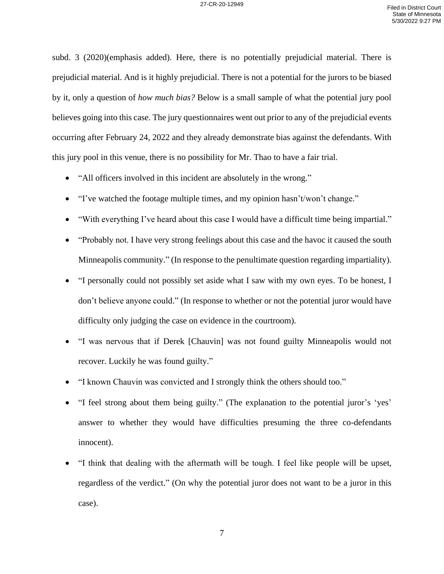subd. 3 (2020)(emphasis added). Here, there is no potentially prejudicial material. There is prejudicial material. And is it highly prejudicial. There is not a potential for the jurors to be biased by it, only a question of *how much bias?* Below is a small sample of what the potential jury pool believes going into this case. The jury questionnaires went out prior to any of the prejudicial events occurring after February 24, 2022 and they already demonstrate bias against the defendants. With this jury pool in this venue, there is no possibility for Mr. Thao to have a fair trial.

- "All officers involved in this incident are absolutely in the wrong."
- "I've watched the footage multiple times, and my opinion hasn't/won't change."
- "With everything I've heard about this case I would have a difficult time being impartial."
- "Probably not. I have very strong feelings about this case and the havoc it caused the south Minneapolis community." (In response to the penultimate question regarding impartiality).
- "I personally could not possibly set aside what I saw with my own eyes. To be honest, I don't believe anyone could." (In response to whether or not the potential juror would have difficulty only judging the case on evidence in the courtroom).
- "I was nervous that if Derek [Chauvin] was not found guilty Minneapolis would not recover. Luckily he was found guilty."
- "I known Chauvin was convicted and I strongly think the others should too."
- "I feel strong about them being guilty." (The explanation to the potential juror's 'yes' answer to whether they would have difficulties presuming the three co-defendants innocent).
- "I think that dealing with the aftermath will be tough. I feel like people will be upset, regardless of the verdict." (On why the potential juror does not want to be a juror in this case).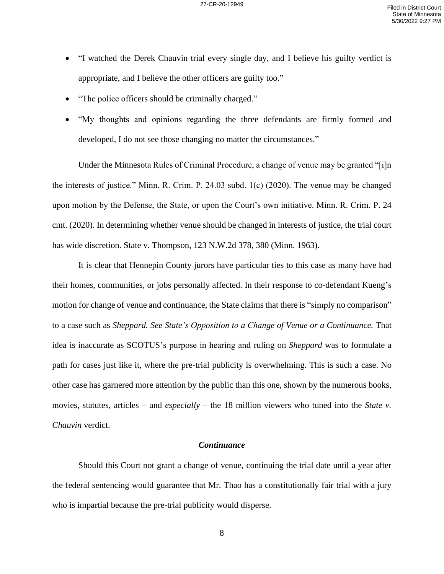- "I watched the Derek Chauvin trial every single day, and I believe his guilty verdict is appropriate, and I believe the other officers are guilty too."
- "The police officers should be criminally charged."
- "My thoughts and opinions regarding the three defendants are firmly formed and developed, I do not see those changing no matter the circumstances."

Under the Minnesota Rules of Criminal Procedure, a change of venue may be granted "[i]n the interests of justice." Minn. R. Crim. P. 24.03 subd. 1(c) (2020). The venue may be changed upon motion by the Defense, the State, or upon the Court's own initiative. Minn. R. Crim. P. 24 cmt. (2020). In determining whether venue should be changed in interests of justice, the trial court has wide discretion. State v. Thompson, 123 N.W.2d 378, 380 (Minn. 1963).

It is clear that Hennepin County jurors have particular ties to this case as many have had their homes, communities, or jobs personally affected. In their response to co-defendant Kueng's motion for change of venue and continuance, the State claims that there is "simply no comparison" to a case such as *Sheppard. See State's Opposition to a Change of Venue or a Continuance.* That idea is inaccurate as SCOTUS's purpose in hearing and ruling on *Sheppard* was to formulate a path for cases just like it, where the pre-trial publicity is overwhelming. This is such a case. No other case has garnered more attention by the public than this one, shown by the numerous books, movies, statutes, articles – and *especially* – the 18 million viewers who tuned into the *State v*. *Chauvin* verdict.

#### *Continuance*

Should this Court not grant a change of venue, continuing the trial date until a year after the federal sentencing would guarantee that Mr. Thao has a constitutionally fair trial with a jury who is impartial because the pre-trial publicity would disperse.